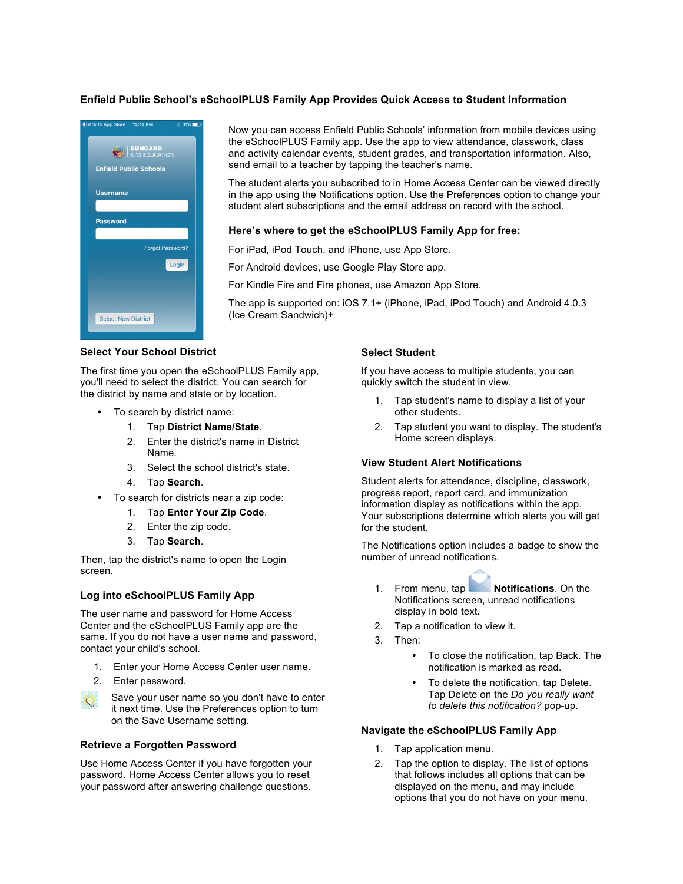### **Enfield Public School's eSchoolPLUS Family App Provides Quick Access to Student Information**



Now you can access Enfield Public Schools' information from mobile devices using the eSchoolPLUS Family app. Use the app to view attendance, classwork, class and activity calendar events, student grades, and transportation information. Also, send email to a teacher by tapping the teacher's name.

The student alerts you subscribed to in Home Access Center can be viewed directly in the app using the Notifications option. Use the Preferences option to change your student alert subscriptions and the email address on record with the school.

### **Here's where to get the eSchoolPLUS Family App for free:**

For iPad, iPod Touch, and iPhone, use App Store.

For Android devices, use Google Play Store app.

For Kindle Fire and Fire phones, use Amazon App Store.

The app is supported on: iOS 7.1+ (iPhone, iPad, iPod Touch) and Android 4.0.3 (Ice Cream Sandwich)+

## **Select Your School District**

The first time you open the eSchoolPLUS Family app, you'll need to select the district. You can search for the district by name and state or by location.

- To search by district name:
	- 1. Tap **District Name/State**.
	- 2. Enter the district's name in District Name.
	- 3. Select the school district's state.
	- 4. Tap **Search**.
- To search for districts near a zip code:
	- 1. Tap **Enter Your Zip Code**.
	- 2. Enter the zip code.
	- 3. Tap **Search**.

Then, tap the district's name to open the Login screen.

### **Log into eSchoolPLUS Family App**

The user name and password for Home Access Center and the eSchoolPLUS Family app are the same. If you do not have a user name and password, contact your child's school.

- 1. Enter your Home Access Center user name.
- 2. Enter password.



#### **Retrieve a Forgotten Password**

Use Home Access Center if you have forgotten your password. Home Access Center allows you to reset your password after answering challenge questions.

#### **Select Student**

If you have access to multiple students, you can quickly switch the student in view.

- Tap student's name to display a list of your other students.
- 2. Tap student you want to display. The student's Home screen displays.

### **View Student Alert Notifications**

Student alerts for attendance, discipline, classwork, progress report, report card, and immunization information display as notifications within the app. Your subscriptions determine which alerts you will get for the student.

The Notifications option includes a badge to show the number of unread notifications.

- 1. From menu, tap **Notifications**. On the Notifications screen, unread notifications display in bold text.
- 2. Tap a notification to view it.
- 3. Then:
	- To close the notification, tap Back. The notification is marked as read.
	- To delete the notification, tap Delete. Tap Delete on the *Do you really want to delete this notification?* pop-up.

### **Navigate the eSchoolPLUS Family App**

- 1. Tap application menu.
- 2. Tap the option to display. The list of options that follows includes all options that can be displayed on the menu, and may include options that you do not have on your menu.